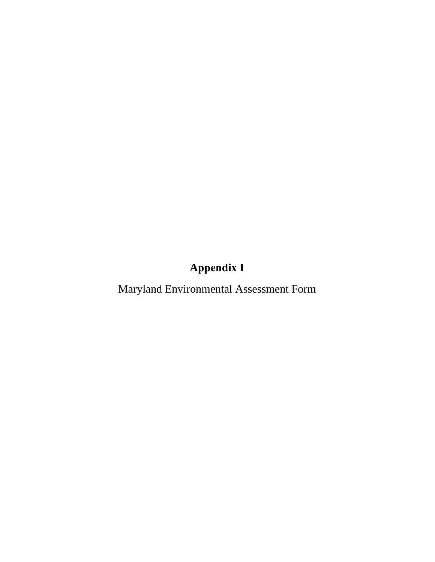## **Appendix I**

Maryland Environmental Assessment Form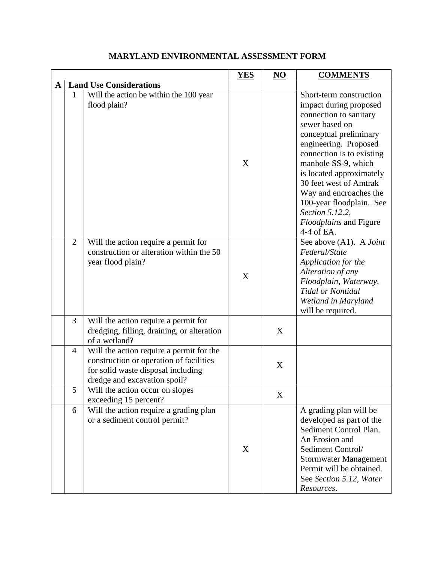|   |                |                                                                                                                                                           | <b>YES</b> | NO | <b>COMMENTS</b>                                                                                                                                                                                                                                                                                                                                                                    |
|---|----------------|-----------------------------------------------------------------------------------------------------------------------------------------------------------|------------|----|------------------------------------------------------------------------------------------------------------------------------------------------------------------------------------------------------------------------------------------------------------------------------------------------------------------------------------------------------------------------------------|
| A |                | <b>Land Use Considerations</b>                                                                                                                            |            |    |                                                                                                                                                                                                                                                                                                                                                                                    |
|   | 1              | Will the action be within the 100 year<br>flood plain?                                                                                                    | X          |    | Short-term construction<br>impact during proposed<br>connection to sanitary<br>sewer based on<br>conceptual preliminary<br>engineering. Proposed<br>connection is to existing<br>manhole SS-9, which<br>is located approximately<br>30 feet west of Amtrak<br>Way and encroaches the<br>100-year floodplain. See<br>Section 5.12.2,<br><i>Floodplains</i> and Figure<br>4-4 of EA. |
|   | $\overline{2}$ | Will the action require a permit for<br>construction or alteration within the 50<br>year flood plain?                                                     | X          |    | See above (A1). A Joint<br>Federal/State<br>Application for the<br>Alteration of any<br>Floodplain, Waterway,<br><b>Tidal or Nontidal</b><br>Wetland in Maryland<br>will be required.                                                                                                                                                                                              |
|   | 3              | Will the action require a permit for<br>dredging, filling, draining, or alteration<br>of a wetland?                                                       |            | X  |                                                                                                                                                                                                                                                                                                                                                                                    |
|   | $\overline{4}$ | Will the action require a permit for the<br>construction or operation of facilities<br>for solid waste disposal including<br>dredge and excavation spoil? |            | X  |                                                                                                                                                                                                                                                                                                                                                                                    |
|   | 5              | Will the action occur on slopes<br>exceeding 15 percent?                                                                                                  |            | X  |                                                                                                                                                                                                                                                                                                                                                                                    |
|   | 6              | Will the action require a grading plan<br>or a sediment control permit?                                                                                   | X          |    | A grading plan will be<br>developed as part of the<br>Sediment Control Plan.<br>An Erosion and<br>Sediment Control/<br><b>Stormwater Management</b><br>Permit will be obtained.<br>See Section 5.12, Water<br>Resources.                                                                                                                                                           |

## **MARYLAND ENVIRONMENTAL ASSESSMENT FORM**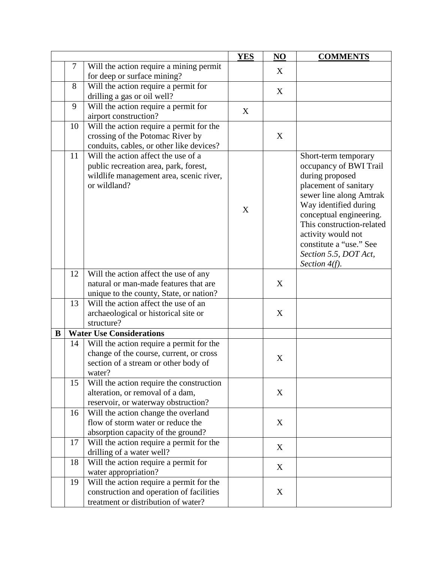|   |    |                                                                                                                         | <b>YES</b> | NO | <b>COMMENTS</b>                                                   |
|---|----|-------------------------------------------------------------------------------------------------------------------------|------------|----|-------------------------------------------------------------------|
|   | 7  | Will the action require a mining permit                                                                                 |            | X  |                                                                   |
|   |    | for deep or surface mining?                                                                                             |            |    |                                                                   |
|   | 8  | Will the action require a permit for                                                                                    |            | X  |                                                                   |
|   |    | drilling a gas or oil well?                                                                                             |            |    |                                                                   |
|   | 9  | Will the action require a permit for                                                                                    | X          |    |                                                                   |
|   |    | airport construction?                                                                                                   |            |    |                                                                   |
|   | 10 | Will the action require a permit for the                                                                                |            |    |                                                                   |
|   |    | crossing of the Potomac River by                                                                                        |            | X  |                                                                   |
|   |    | conduits, cables, or other like devices?                                                                                |            |    |                                                                   |
|   | 11 | Will the action affect the use of a<br>public recreation area, park, forest,<br>wildlife management area, scenic river, |            |    | Short-term temporary<br>occupancy of BWI Trail<br>during proposed |
|   |    | or wildland?                                                                                                            |            |    | placement of sanitary                                             |
|   |    |                                                                                                                         |            |    | sewer line along Amtrak<br>Way identified during                  |
|   |    |                                                                                                                         | X          |    | conceptual engineering.                                           |
|   |    |                                                                                                                         |            |    | This construction-related                                         |
|   |    |                                                                                                                         |            |    | activity would not                                                |
|   |    |                                                                                                                         |            |    | constitute a "use." See                                           |
|   |    |                                                                                                                         |            |    | Section 5.5, DOT Act,                                             |
|   |    |                                                                                                                         |            |    | Section $4(f)$ .                                                  |
|   | 12 | Will the action affect the use of any                                                                                   |            |    |                                                                   |
|   |    | natural or man-made features that are                                                                                   |            | X  |                                                                   |
|   |    | unique to the county, State, or nation?                                                                                 |            |    |                                                                   |
|   | 13 | Will the action affect the use of an                                                                                    |            |    |                                                                   |
|   |    | archaeological or historical site or                                                                                    |            | X  |                                                                   |
|   |    | structure?                                                                                                              |            |    |                                                                   |
| B |    | <b>Water Use Considerations</b>                                                                                         |            |    |                                                                   |
|   | 14 | Will the action require a permit for the                                                                                |            |    |                                                                   |
|   |    | change of the course, current, or cross<br>section of a stream or other body of                                         |            | X  |                                                                   |
|   |    | water?                                                                                                                  |            |    |                                                                   |
|   | 15 | Will the action require the construction                                                                                |            |    |                                                                   |
|   |    | alteration, or removal of a dam,                                                                                        |            | X  |                                                                   |
|   |    | reservoir, or waterway obstruction?                                                                                     |            |    |                                                                   |
|   | 16 | Will the action change the overland                                                                                     |            |    |                                                                   |
|   |    | flow of storm water or reduce the                                                                                       |            | X  |                                                                   |
|   |    | absorption capacity of the ground?                                                                                      |            |    |                                                                   |
|   | 17 | Will the action require a permit for the                                                                                |            |    |                                                                   |
|   |    | drilling of a water well?                                                                                               |            | X  |                                                                   |
|   | 18 | Will the action require a permit for                                                                                    |            |    |                                                                   |
|   |    | water appropriation?                                                                                                    |            | X  |                                                                   |
|   | 19 | Will the action require a permit for the                                                                                |            |    |                                                                   |
|   |    | construction and operation of facilities                                                                                |            | X  |                                                                   |
|   |    | treatment or distribution of water?                                                                                     |            |    |                                                                   |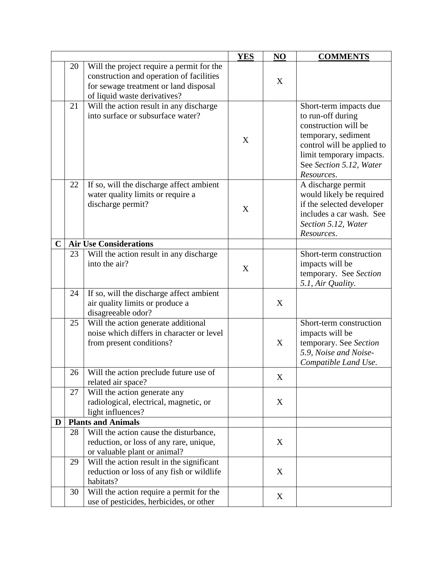|              |    |                                                                                                                                                                | <b>YES</b> | NO | <b>COMMENTS</b>                                                                                                                                                                               |
|--------------|----|----------------------------------------------------------------------------------------------------------------------------------------------------------------|------------|----|-----------------------------------------------------------------------------------------------------------------------------------------------------------------------------------------------|
|              | 20 | Will the project require a permit for the<br>construction and operation of facilities<br>for sewage treatment or land disposal<br>of liquid waste derivatives? |            | X  |                                                                                                                                                                                               |
|              | 21 | Will the action result in any discharge<br>into surface or subsurface water?                                                                                   | X          |    | Short-term impacts due<br>to run-off during<br>construction will be<br>temporary, sediment<br>control will be applied to<br>limit temporary impacts.<br>See Section 5.12, Water<br>Resources. |
|              | 22 | If so, will the discharge affect ambient<br>water quality limits or require a<br>discharge permit?                                                             | X          |    | A discharge permit<br>would likely be required<br>if the selected developer<br>includes a car wash. See<br>Section 5.12, Water<br>Resources.                                                  |
| $\mathbf{C}$ |    | <b>Air Use Considerations</b>                                                                                                                                  |            |    |                                                                                                                                                                                               |
|              | 23 | Will the action result in any discharge<br>into the air?                                                                                                       | X          |    | Short-term construction<br>impacts will be<br>temporary. See Section<br>5.1, Air Quality.                                                                                                     |
|              | 24 | If so, will the discharge affect ambient<br>air quality limits or produce a<br>disagreeable odor?                                                              |            | X  |                                                                                                                                                                                               |
|              | 25 | Will the action generate additional<br>noise which differs in character or level<br>from present conditions?                                                   |            | X  | Short-term construction<br>impacts will be<br>temporary. See Section<br>5.9, Noise and Noise-<br>Compatible Land Use.                                                                         |
|              | 26 | Will the action preclude future use of<br>related air space?                                                                                                   |            | X  |                                                                                                                                                                                               |
|              | 27 | Will the action generate any<br>radiological, electrical, magnetic, or<br>light influences?                                                                    |            | X  |                                                                                                                                                                                               |
| D            |    | <b>Plants and Animals</b>                                                                                                                                      |            |    |                                                                                                                                                                                               |
|              | 28 | Will the action cause the disturbance,<br>reduction, or loss of any rare, unique,<br>or valuable plant or animal?                                              |            | X  |                                                                                                                                                                                               |
|              | 29 | Will the action result in the significant<br>reduction or loss of any fish or wildlife<br>habitats?                                                            |            | X  |                                                                                                                                                                                               |
|              | 30 | Will the action require a permit for the<br>use of pesticides, herbicides, or other                                                                            |            | X  |                                                                                                                                                                                               |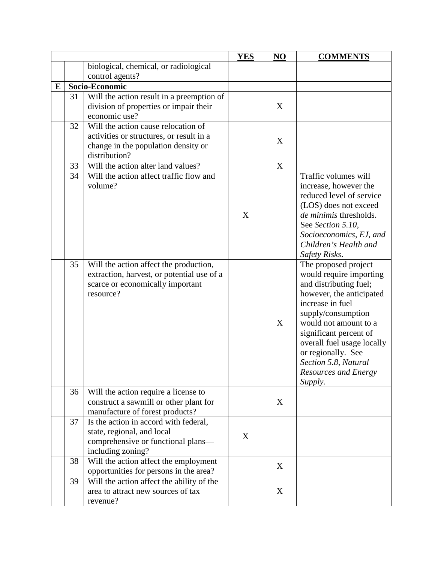|   |    |                                                                                | <b>YES</b> | NO                        | <b>COMMENTS</b>            |
|---|----|--------------------------------------------------------------------------------|------------|---------------------------|----------------------------|
|   |    | biological, chemical, or radiological                                          |            |                           |                            |
|   |    | control agents?                                                                |            |                           |                            |
| E |    | Socio-Economic                                                                 |            |                           |                            |
|   | 31 | Will the action result in a preemption of                                      |            |                           |                            |
|   |    | division of properties or impair their                                         |            | X                         |                            |
|   |    | economic use?                                                                  |            |                           |                            |
|   | 32 | Will the action cause relocation of                                            |            |                           |                            |
|   |    | activities or structures, or result in a                                       |            | X                         |                            |
|   |    | change in the population density or                                            |            |                           |                            |
|   |    | distribution?                                                                  |            |                           |                            |
|   | 33 | Will the action alter land values?                                             |            | $\boldsymbol{\mathrm{X}}$ |                            |
|   | 34 | Will the action affect traffic flow and                                        |            |                           | Traffic volumes will       |
|   |    | volume?                                                                        |            |                           | increase, however the      |
|   |    |                                                                                |            |                           | reduced level of service   |
|   |    |                                                                                |            |                           | (LOS) does not exceed      |
|   |    |                                                                                | X          |                           | de minimis thresholds.     |
|   |    |                                                                                |            |                           | See Section 5.10,          |
|   |    |                                                                                |            |                           | Socioeconomics, EJ, and    |
|   |    |                                                                                |            |                           | Children's Health and      |
|   |    |                                                                                |            |                           | Safety Risks.              |
|   | 35 | Will the action affect the production,                                         |            |                           | The proposed project       |
|   |    | extraction, harvest, or potential use of a                                     |            |                           | would require importing    |
|   |    | scarce or economically important                                               |            |                           | and distributing fuel;     |
|   |    | resource?                                                                      |            |                           | however, the anticipated   |
|   |    |                                                                                |            |                           | increase in fuel           |
|   |    |                                                                                |            |                           | supply/consumption         |
|   |    |                                                                                |            | X                         | would not amount to a      |
|   |    |                                                                                |            |                           | significant percent of     |
|   |    |                                                                                |            |                           | overall fuel usage locally |
|   |    |                                                                                |            |                           | or regionally. See         |
|   |    |                                                                                |            |                           | Section 5.8, Natural       |
|   |    |                                                                                |            |                           | Resources and Energy       |
|   |    |                                                                                |            |                           | Supply.                    |
|   | 36 | Will the action require a license to<br>construct a sawmill or other plant for |            | X                         |                            |
|   |    | manufacture of forest products?                                                |            |                           |                            |
|   | 37 | Is the action in accord with federal,                                          |            |                           |                            |
|   |    | state, regional, and local                                                     |            |                           |                            |
|   |    | comprehensive or functional plans—                                             | X          |                           |                            |
|   |    | including zoning?                                                              |            |                           |                            |
|   | 38 | Will the action affect the employment                                          |            |                           |                            |
|   |    | opportunities for persons in the area?                                         |            | X                         |                            |
|   | 39 | Will the action affect the ability of the                                      |            |                           |                            |
|   |    | area to attract new sources of tax                                             |            | X                         |                            |
|   |    |                                                                                |            |                           |                            |
|   |    | revenue?                                                                       |            |                           |                            |